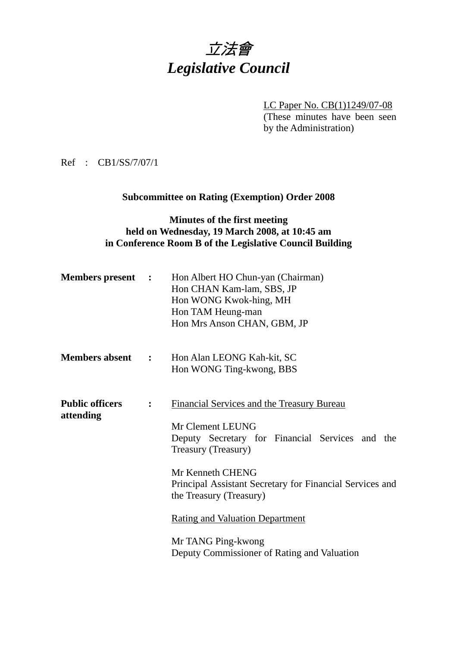# 立法會 *Legislative Council*

LC Paper No. CB(1)1249/07-08

(These minutes have been seen by the Administration)

Ref : CB1/SS/7/07/1

# **Subcommittee on Rating (Exemption) Order 2008**

### **Minutes of the first meeting held on Wednesday, 19 March 2008, at 10:45 am in Conference Room B of the Legislative Council Building**

| <b>Members present :</b>            |                | Hon Albert HO Chun-yan (Chairman)<br>Hon CHAN Kam-lam, SBS, JP<br>Hon WONG Kwok-hing, MH<br>Hon TAM Heung-man<br>Hon Mrs Anson CHAN, GBM, JP                                                                                                                                                                                                                              |
|-------------------------------------|----------------|---------------------------------------------------------------------------------------------------------------------------------------------------------------------------------------------------------------------------------------------------------------------------------------------------------------------------------------------------------------------------|
| <b>Members absent :</b>             |                | Hon Alan LEONG Kah-kit, SC<br>Hon WONG Ting-kwong, BBS                                                                                                                                                                                                                                                                                                                    |
| <b>Public officers</b><br>attending | $\ddot{\cdot}$ | <b>Financial Services and the Treasury Bureau</b><br>Mr Clement LEUNG<br>Deputy Secretary for Financial Services and the<br>Treasury (Treasury)<br>Mr Kenneth CHENG<br>Principal Assistant Secretary for Financial Services and<br>the Treasury (Treasury)<br><b>Rating and Valuation Department</b><br>Mr TANG Ping-kwong<br>Deputy Commissioner of Rating and Valuation |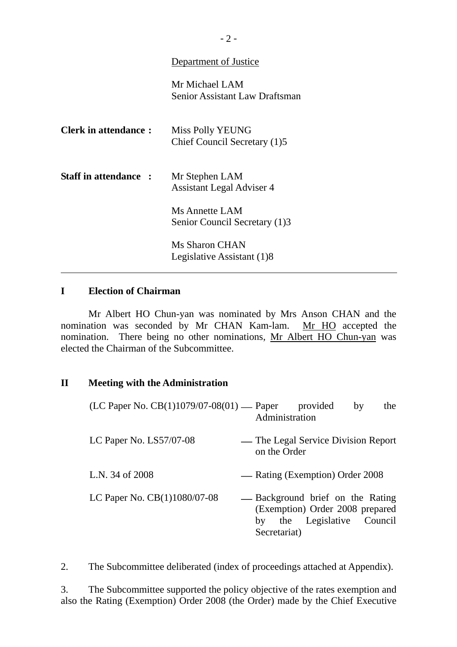#### Department of Justice

Mr Michael LAM Senior Assistant Law Draftsman

| <b>Clerk in attendance:</b>  | <b>Miss Polly YEUNG</b><br>Chief Council Secretary (1)5 |
|------------------------------|---------------------------------------------------------|
| <b>Staff in attendance :</b> | Mr Stephen LAM<br><b>Assistant Legal Adviser 4</b>      |
|                              | Ms Annette LAM<br>Senior Council Secretary (1)3         |
|                              | Ms Sharon CHAN<br>Legislative Assistant (1)8            |

## **I Election of Chairman**

 $\overline{\phantom{a}}$ 

 Mr Albert HO Chun-yan was nominated by Mrs Anson CHAN and the nomination was seconded by Mr CHAN Kam-lam. Mr HO accepted the nomination. There being no other nominations, Mr Albert HO Chun-yan was elected the Chairman of the Subcommittee.

#### **II Meeting with the Administration**

| (LC Paper No. CB(1)1079/07-08(01) — Paper | the<br>provided<br>by<br>Administration                                                                              |
|-------------------------------------------|----------------------------------------------------------------------------------------------------------------------|
| LC Paper No. $LS57/07-08$                 | — The Legal Service Division Report<br>on the Order                                                                  |
| L.N. 34 of 2008                           | — Rating (Exemption) Order 2008                                                                                      |
| LC Paper No. CB(1)1080/07-08              | - Background brief on the Rating<br>(Exemption) Order 2008 prepared<br>the Legislative Council<br>by<br>Secretariat) |

2. The Subcommittee deliberated (index of proceedings attached at Appendix).

3. The Subcommittee supported the policy objective of the rates exemption and also the Rating (Exemption) Order 2008 (the Order) made by the Chief Executive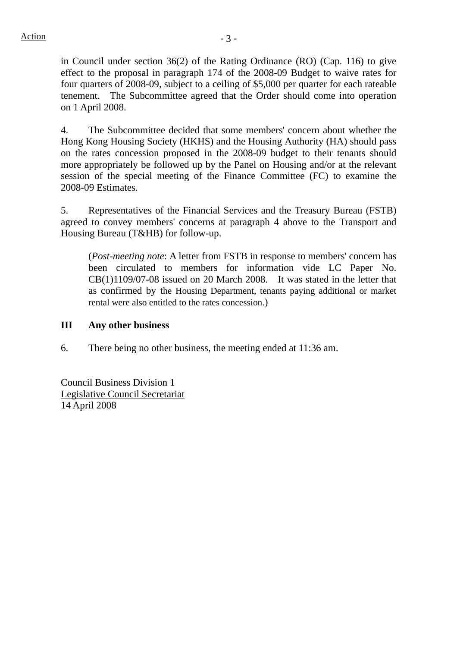in Council under section 36(2) of the Rating Ordinance (RO) (Cap. 116) to give effect to the proposal in paragraph 174 of the 2008-09 Budget to waive rates for four quarters of 2008-09, subject to a ceiling of \$5,000 per quarter for each rateable tenement. The Subcommittee agreed that the Order should come into operation on 1 April 2008.

4. The Subcommittee decided that some members' concern about whether the Hong Kong Housing Society (HKHS) and the Housing Authority (HA) should pass on the rates concession proposed in the 2008-09 budget to their tenants should more appropriately be followed up by the Panel on Housing and/or at the relevant session of the special meeting of the Finance Committee (FC) to examine the 2008-09 Estimates.

5. Representatives of the Financial Services and the Treasury Bureau (FSTB) agreed to convey members' concerns at paragraph 4 above to the Transport and Housing Bureau (T&HB) for follow-up.

(*Post-meeting note*: A letter from FSTB in response to members' concern has been circulated to members for information vide LC Paper No. CB(1)1109/07-08 issued on 20 March 2008. It was stated in the letter that as confirmed by the Housing Department, tenants paying additional or market rental were also entitled to the rates concession.)

#### **III Any other business**

6. There being no other business, the meeting ended at 11:36 am.

Council Business Division 1 Legislative Council Secretariat 14 April 2008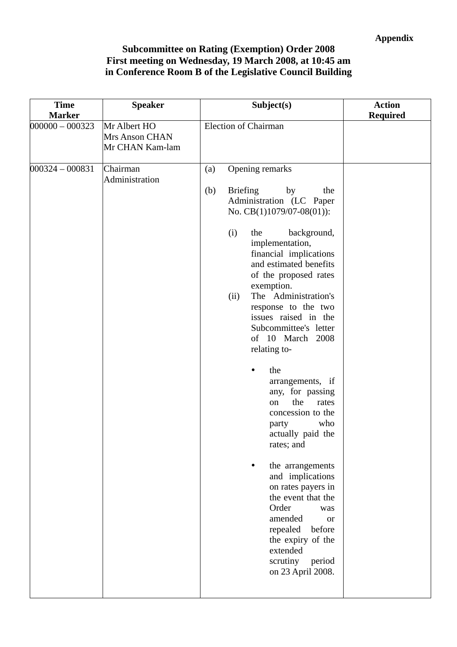## **Appendix**

# **Subcommittee on Rating (Exemption) Order 2008 First meeting on Wednesday, 19 March 2008, at 10:45 am in Conference Room B of the Legislative Council Building**

| <b>Time</b>                        | <b>Speaker</b>                                    | Subject(s)                                                                                                                                                                                                                                                                                                                                                                                                                                                                                                                                                                                                                                                                                                                                                                               | <b>Action</b>   |
|------------------------------------|---------------------------------------------------|------------------------------------------------------------------------------------------------------------------------------------------------------------------------------------------------------------------------------------------------------------------------------------------------------------------------------------------------------------------------------------------------------------------------------------------------------------------------------------------------------------------------------------------------------------------------------------------------------------------------------------------------------------------------------------------------------------------------------------------------------------------------------------------|-----------------|
| <b>Marker</b><br>$000000 - 000323$ | Mr Albert HO<br>Mrs Anson CHAN<br>Mr CHAN Kam-lam | <b>Election of Chairman</b>                                                                                                                                                                                                                                                                                                                                                                                                                                                                                                                                                                                                                                                                                                                                                              | <b>Required</b> |
| $000324 - 000831$                  | Chairman<br>Administration                        | Opening remarks<br>(a)<br>(b)<br><b>Briefing</b><br>by<br>the<br>Administration (LC Paper<br>No. CB(1)1079/07-08(01)):<br>(i)<br>the<br>background,<br>implementation,<br>financial implications<br>and estimated benefits<br>of the proposed rates<br>exemption.<br>The Administration's<br>(ii)<br>response to the two<br>issues raised in the<br>Subcommittee's letter<br>of 10 March 2008<br>relating to-<br>the<br>arrangements, if<br>any, for passing<br>the<br>rates<br>on<br>concession to the<br>who<br>party<br>actually paid the<br>rates; and<br>the arrangements<br>and implications<br>on rates payers in<br>the event that the<br>Order<br>was<br>amended<br><b>or</b><br>repealed<br>before<br>the expiry of the<br>extended<br>scrutiny<br>period<br>on 23 April 2008. |                 |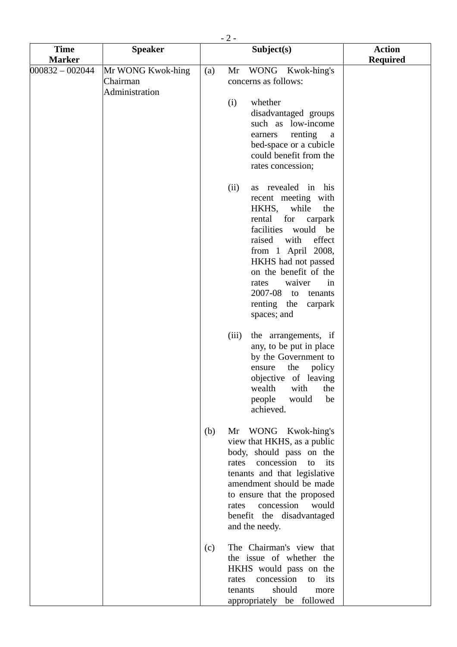|                              | $-2-$                                           |     |                                                                                                                                                                                                                                                                                                                                     |                                  |  |  |
|------------------------------|-------------------------------------------------|-----|-------------------------------------------------------------------------------------------------------------------------------------------------------------------------------------------------------------------------------------------------------------------------------------------------------------------------------------|----------------------------------|--|--|
| <b>Time</b><br><b>Marker</b> | <b>Speaker</b>                                  |     | Subject(s)                                                                                                                                                                                                                                                                                                                          | <b>Action</b><br><b>Required</b> |  |  |
| $000832 - 002044$            | Mr WONG Kwok-hing<br>Chairman<br>Administration | (a) | Mr<br>WONG Kwok-hing's<br>concerns as follows:                                                                                                                                                                                                                                                                                      |                                  |  |  |
|                              |                                                 |     | whether<br>(i)<br>disadvantaged groups<br>such as low-income<br>renting<br>earners<br>a<br>bed-space or a cubicle<br>could benefit from the<br>rates concession;                                                                                                                                                                    |                                  |  |  |
|                              |                                                 |     | as revealed in<br>(ii)<br>his<br>recent meeting with<br>while<br>HKHS,<br>the<br>rental<br>for<br>carpark<br>facilities<br>would be<br>raised<br>effect<br>with<br>from 1 April 2008,<br>HKHS had not passed<br>on the benefit of the<br>waiver<br>in<br>rates<br>2007-08<br>tenants<br>to<br>renting the<br>carpark<br>spaces; and |                                  |  |  |
|                              |                                                 |     | (iii)<br>the arrangements, if<br>any, to be put in place<br>by the Government to<br>ensure<br>the<br>policy<br>objective of leaving<br>wealth<br>with<br>the<br>be<br>people<br>would<br>achieved.                                                                                                                                  |                                  |  |  |
|                              |                                                 | (b) | WONG Kwok-hing's<br>Mr<br>view that HKHS, as a public<br>body, should pass on the<br>concession<br>its<br>to<br>rates<br>tenants and that legislative<br>amendment should be made<br>to ensure that the proposed<br>concession<br>rates<br>would<br>benefit the disadvantaged<br>and the needy.                                     |                                  |  |  |
|                              |                                                 | (c) | The Chairman's view that<br>the issue of whether the<br>HKHS would pass on the<br>concession<br>its<br>rates<br>to<br>should<br>tenants<br>more<br>appropriately be followed                                                                                                                                                        |                                  |  |  |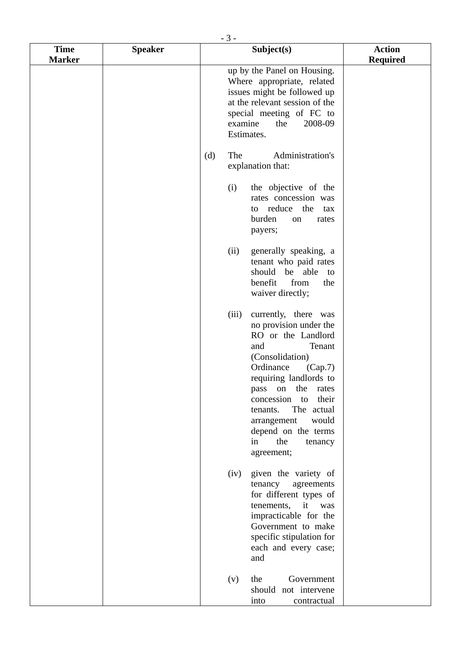|                              | $-3-$          |                                                                                                                                                                                                                                                                                                                                               |                                  |  |  |  |
|------------------------------|----------------|-----------------------------------------------------------------------------------------------------------------------------------------------------------------------------------------------------------------------------------------------------------------------------------------------------------------------------------------------|----------------------------------|--|--|--|
| <b>Time</b><br><b>Marker</b> | <b>Speaker</b> | Subject(s)                                                                                                                                                                                                                                                                                                                                    | <b>Action</b><br><b>Required</b> |  |  |  |
|                              |                | up by the Panel on Housing.<br>Where appropriate, related<br>issues might be followed up<br>at the relevant session of the<br>special meeting of FC to<br>2008-09<br>examine<br>the<br>Estimates.                                                                                                                                             |                                  |  |  |  |
|                              |                | Administration's<br>The<br>(d)<br>explanation that:                                                                                                                                                                                                                                                                                           |                                  |  |  |  |
|                              |                | the objective of the<br>(i)<br>rates concession was<br>to reduce the<br>tax<br>burden<br>rates<br>on<br>payers;                                                                                                                                                                                                                               |                                  |  |  |  |
|                              |                | generally speaking, a<br>(ii)<br>tenant who paid rates<br>should be able<br>to<br>from<br>benefit<br>the<br>waiver directly;                                                                                                                                                                                                                  |                                  |  |  |  |
|                              |                | currently, there was<br>(iii)<br>no provision under the<br>RO or the Landlord<br>and<br>Tenant<br>(Consolidation)<br>Ordinance<br>(Cap.7)<br>requiring landlords to<br>the<br>pass<br>on<br>rates<br>concession<br>their<br>to<br>The actual<br>tenants.<br>would<br>arrangement<br>depend on the terms<br>the<br>in<br>tenancy<br>agreement; |                                  |  |  |  |
|                              |                | given the variety of<br>(iv)<br>tenancy<br>agreements<br>for different types of<br>tenements,<br>it<br>was<br>impracticable for the<br>Government to make<br>specific stipulation for<br>each and every case;<br>and                                                                                                                          |                                  |  |  |  |
|                              |                | Government<br>the<br>(v)<br>should not intervene<br>into<br>contractual                                                                                                                                                                                                                                                                       |                                  |  |  |  |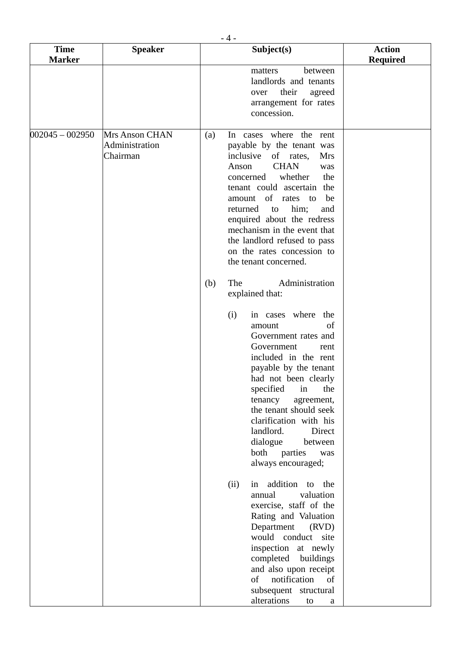| <b>Time</b>       | <b>Speaker</b>                               | Subject(s)                                                                                                                                                                                                                                                                                                                                                                                                                                                                                                                                                       | <b>Action</b>   |
|-------------------|----------------------------------------------|------------------------------------------------------------------------------------------------------------------------------------------------------------------------------------------------------------------------------------------------------------------------------------------------------------------------------------------------------------------------------------------------------------------------------------------------------------------------------------------------------------------------------------------------------------------|-----------------|
| <b>Marker</b>     |                                              |                                                                                                                                                                                                                                                                                                                                                                                                                                                                                                                                                                  | <b>Required</b> |
|                   |                                              | between<br>matters<br>landlords and tenants<br>their<br>agreed<br>over<br>arrangement for rates<br>concession.                                                                                                                                                                                                                                                                                                                                                                                                                                                   |                 |
| $002045 - 002950$ | Mrs Anson CHAN<br>Administration<br>Chairman | In cases where the rent<br>(a)<br>payable by the tenant was<br>inclusive<br>of rates,<br><b>Mrs</b><br><b>CHAN</b><br>Anson<br>was<br>whether<br>the<br>concerned<br>tenant could ascertain the<br>amount of rates to<br>be<br>him;<br>returned<br>to<br>and<br>enquired about the redress<br>mechanism in the event that<br>the landlord refused to pass<br>on the rates concession to<br>the tenant concerned.<br>The<br>Administration<br>(b)                                                                                                                 |                 |
|                   |                                              | explained that:<br>(i)<br>in cases where the<br>of<br>amount<br>Government rates and<br>Government<br>rent<br>included in the rent<br>payable by the tenant<br>had not been clearly<br>specified in the<br>tenancy<br>agreement,<br>the tenant should seek<br>clarification with his<br>landlord.<br>Direct<br>dialogue<br>between<br>both<br>parties<br>was<br>always encouraged;<br>in addition to<br>(ii)<br>the<br>valuation<br>annual<br>exercise, staff of the<br>Rating and Valuation<br>Department<br>(RVD)<br>would conduct site<br>inspection at newly |                 |
|                   |                                              | completed buildings<br>and also upon receipt<br>notification<br>of<br>of<br>subsequent structural<br>alterations<br>to<br>a                                                                                                                                                                                                                                                                                                                                                                                                                                      |                 |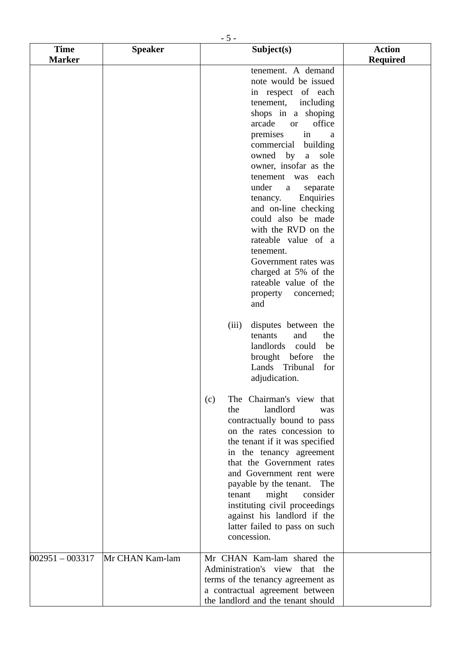|                              | $-5-$           |                                                                                                                                                                                                                                                                                                                                                                                                                                                                                                                                                                                                                                                                                                                                                                                                                                                                                                                                                                                                                                                                                                                                   |                                  |
|------------------------------|-----------------|-----------------------------------------------------------------------------------------------------------------------------------------------------------------------------------------------------------------------------------------------------------------------------------------------------------------------------------------------------------------------------------------------------------------------------------------------------------------------------------------------------------------------------------------------------------------------------------------------------------------------------------------------------------------------------------------------------------------------------------------------------------------------------------------------------------------------------------------------------------------------------------------------------------------------------------------------------------------------------------------------------------------------------------------------------------------------------------------------------------------------------------|----------------------------------|
| <b>Time</b><br><b>Marker</b> | <b>Speaker</b>  | Subject(s)                                                                                                                                                                                                                                                                                                                                                                                                                                                                                                                                                                                                                                                                                                                                                                                                                                                                                                                                                                                                                                                                                                                        | <b>Action</b><br><b>Required</b> |
|                              |                 | tenement. A demand<br>note would be issued<br>in respect of each<br>tenement,<br>including<br>shops in a shoping<br>arcade<br>office<br><sub>or</sub><br>in<br>premises<br>a<br>building<br>commercial<br>owned<br>by<br>sole<br>a<br>owner, insofar as the<br>tenement was<br>each<br>under<br>separate<br>a<br>Enquiries<br>tenancy.<br>and on-line checking<br>could also be made<br>with the RVD on the<br>rateable value of a<br>tenement.<br>Government rates was<br>charged at 5% of the<br>rateable value of the<br>property concerned;<br>and<br>disputes between the<br>(iii)<br>and<br>the<br>tenants<br>landlords could<br>be<br>brought before<br>the<br>Lands<br>Tribunal<br>for<br>adjudication.<br>The Chairman's view that<br>(c)<br>landlord<br>the<br>was<br>contractually bound to pass<br>on the rates concession to<br>the tenant if it was specified<br>in the tenancy agreement<br>that the Government rates<br>and Government rent were<br>payable by the tenant.<br>The<br>might<br>consider<br>tenant<br>instituting civil proceedings<br>against his landlord if the<br>latter failed to pass on such |                                  |
|                              |                 | concession.                                                                                                                                                                                                                                                                                                                                                                                                                                                                                                                                                                                                                                                                                                                                                                                                                                                                                                                                                                                                                                                                                                                       |                                  |
| $002951 - 003317$            | Mr CHAN Kam-lam | Mr CHAN Kam-lam shared the<br>Administration's view that the<br>terms of the tenancy agreement as<br>a contractual agreement between<br>the landlord and the tenant should                                                                                                                                                                                                                                                                                                                                                                                                                                                                                                                                                                                                                                                                                                                                                                                                                                                                                                                                                        |                                  |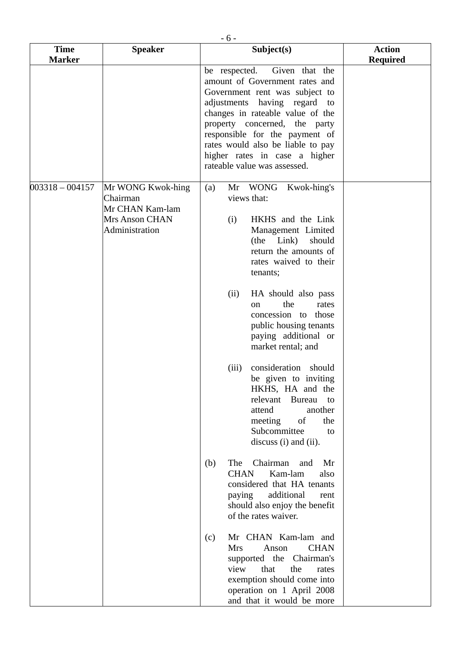| <b>Time</b><br><b>Marker</b> | <b>Speaker</b>                                                                              | Subject(s)                                                                                                                                                                                                                                                                                                                                                                                                                                                                                                                                    | <b>Action</b><br><b>Required</b> |
|------------------------------|---------------------------------------------------------------------------------------------|-----------------------------------------------------------------------------------------------------------------------------------------------------------------------------------------------------------------------------------------------------------------------------------------------------------------------------------------------------------------------------------------------------------------------------------------------------------------------------------------------------------------------------------------------|----------------------------------|
|                              |                                                                                             | be respected.<br>Given that the<br>amount of Government rates and<br>Government rent was subject to<br>adjustments having regard to<br>changes in rateable value of the<br>property concerned, the party<br>responsible for the payment of<br>rates would also be liable to pay<br>higher rates in case a higher<br>rateable value was assessed.                                                                                                                                                                                              |                                  |
| $003318 - 004157$            | Mr WONG Kwok-hing<br>Chairman<br>Mr CHAN Kam-lam<br><b>Mrs Anson CHAN</b><br>Administration | Mr WONG<br>Kwok-hing's<br>(a)<br>views that:<br>(i)<br>HKHS and the Link<br>Management Limited<br>(the Link)<br>should<br>return the amounts of<br>rates waived to their<br>tenants;<br>HA should also pass<br>(ii)<br>the<br>rates<br>on<br>concession to those<br>public housing tenants<br>paying additional or<br>market rental; and<br>consideration should<br>(iii)<br>be given to inviting<br>HKHS, HA and the<br>relevant<br>Bureau<br>to<br>attend<br>another<br>meeting<br>of<br>the<br>Subcommittee<br>to<br>discuss (i) and (ii). |                                  |
|                              |                                                                                             | The<br>Chairman<br>(b)<br>and<br>Mr<br>Kam-lam<br><b>CHAN</b><br>also<br>considered that HA tenants<br>additional<br>paying<br>rent<br>should also enjoy the benefit<br>of the rates waiver.                                                                                                                                                                                                                                                                                                                                                  |                                  |
|                              |                                                                                             | Mr CHAN Kam-lam and<br>(c)<br><b>Mrs</b><br><b>CHAN</b><br>Anson<br>supported the Chairman's<br>that<br>view<br>the<br>rates<br>exemption should come into<br>operation on 1 April 2008<br>and that it would be more                                                                                                                                                                                                                                                                                                                          |                                  |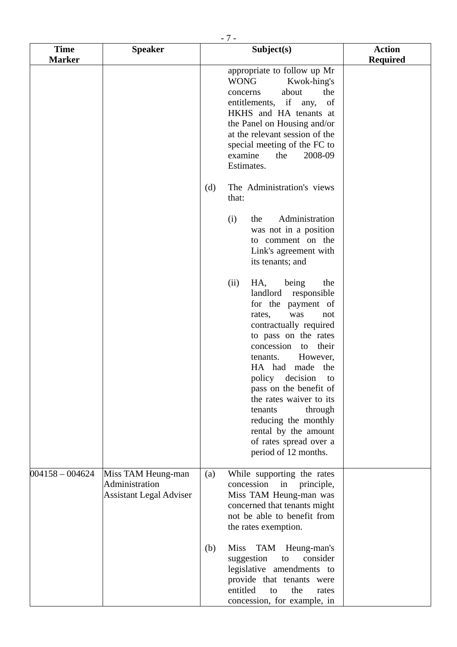|                              | $-7-$                                                                  |     |                                                                                                                                                                                                                                                                                                                                                                                                                                         |                                  |  |  |
|------------------------------|------------------------------------------------------------------------|-----|-----------------------------------------------------------------------------------------------------------------------------------------------------------------------------------------------------------------------------------------------------------------------------------------------------------------------------------------------------------------------------------------------------------------------------------------|----------------------------------|--|--|
| <b>Time</b><br><b>Marker</b> | <b>Speaker</b>                                                         |     | Subject(s)                                                                                                                                                                                                                                                                                                                                                                                                                              | <b>Action</b><br><b>Required</b> |  |  |
|                              |                                                                        |     | appropriate to follow up Mr<br><b>WONG</b><br>Kwok-hing's<br>about<br>the<br>concerns<br>entitlements, if any,<br>of<br>HKHS and HA tenants at<br>the Panel on Housing and/or<br>at the relevant session of the<br>special meeting of the FC to<br>2008-09<br>examine<br>the<br>Estimates.                                                                                                                                              |                                  |  |  |
|                              |                                                                        | (d) | The Administration's views<br>that:                                                                                                                                                                                                                                                                                                                                                                                                     |                                  |  |  |
|                              |                                                                        |     | Administration<br>(i)<br>the<br>was not in a position<br>to comment on the<br>Link's agreement with<br>its tenants; and                                                                                                                                                                                                                                                                                                                 |                                  |  |  |
|                              |                                                                        |     | being<br>HA,<br>the<br>(ii)<br>landlord<br>responsible<br>for the payment of<br>was<br>rates,<br>not<br>contractually required<br>to pass on the rates<br>concession<br>their<br>to<br>However,<br>tenants.<br>HA had<br>made<br>the<br>policy decision to<br>pass on the benefit of<br>the rates waiver to its<br>through<br>tenants<br>reducing the monthly<br>rental by the amount<br>of rates spread over a<br>period of 12 months. |                                  |  |  |
| $004158 - 004624$            | Miss TAM Heung-man<br>Administration<br><b>Assistant Legal Adviser</b> | (a) | While supporting the rates<br>concession in<br>principle,<br>Miss TAM Heung-man was<br>concerned that tenants might<br>not be able to benefit from<br>the rates exemption.                                                                                                                                                                                                                                                              |                                  |  |  |
|                              |                                                                        | (b) | <b>Miss</b><br>TAM Heung-man's<br>consider<br>suggestion<br>to<br>legislative amendments to<br>provide that tenants were<br>entitled<br>the<br>to<br>rates<br>concession, for example, in                                                                                                                                                                                                                                               |                                  |  |  |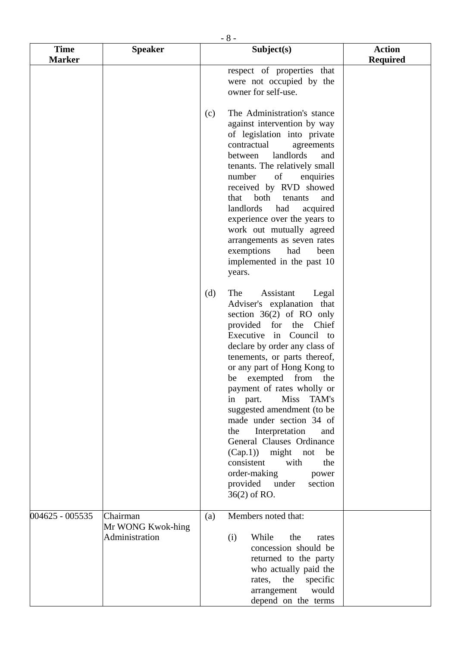|                              | $-8-$                                           |     |                                                                                                                                                                                                                                                                                                                                                                                                                                                                                                                                                                                                       |                                  |  |  |  |
|------------------------------|-------------------------------------------------|-----|-------------------------------------------------------------------------------------------------------------------------------------------------------------------------------------------------------------------------------------------------------------------------------------------------------------------------------------------------------------------------------------------------------------------------------------------------------------------------------------------------------------------------------------------------------------------------------------------------------|----------------------------------|--|--|--|
| <b>Time</b><br><b>Marker</b> | <b>Speaker</b>                                  |     | Subject(s)                                                                                                                                                                                                                                                                                                                                                                                                                                                                                                                                                                                            | <b>Action</b><br><b>Required</b> |  |  |  |
|                              |                                                 |     | respect of properties that<br>were not occupied by the<br>owner for self-use.                                                                                                                                                                                                                                                                                                                                                                                                                                                                                                                         |                                  |  |  |  |
|                              |                                                 | (c) | The Administration's stance<br>against intervention by way<br>of legislation into private<br>contractual<br>agreements<br>landlords<br>between<br>and<br>tenants. The relatively small<br>number<br>of<br>enquiries<br>received by RVD showed<br>both<br>that<br>tenants<br>and<br>landlords<br>had<br>acquired<br>experience over the years to<br>work out mutually agreed<br>arrangements as seven rates<br>exemptions<br>had<br>been<br>implemented in the past 10<br>years.                                                                                                                       |                                  |  |  |  |
|                              |                                                 | (d) | The<br>Assistant<br>Legal<br>Adviser's explanation that<br>section $36(2)$ of RO only<br>provided for the<br>Chief<br>Executive in Council to<br>declare by order any class of<br>tenements, or parts thereof,<br>or any part of Hong Kong to<br>be exempted from the<br>payment of rates wholly or<br><b>Miss</b><br>in part.<br>TAM's<br>suggested amendment (to be<br>made under section 34 of<br>Interpretation<br>the<br>and<br>General Clauses Ordinance<br>(Cap.1)<br>might<br>not<br>be<br>with<br>consistent<br>the<br>order-making<br>power<br>under<br>provided<br>section<br>36(2) of RO. |                                  |  |  |  |
| 004625 - 005535              | Chairman<br>Mr WONG Kwok-hing<br>Administration | (a) | Members noted that:<br>While<br>the<br>(i)<br>rates<br>concession should be<br>returned to the party<br>who actually paid the<br>the<br>specific<br>rates,<br>arrangement<br>would<br>depend on the terms                                                                                                                                                                                                                                                                                                                                                                                             |                                  |  |  |  |